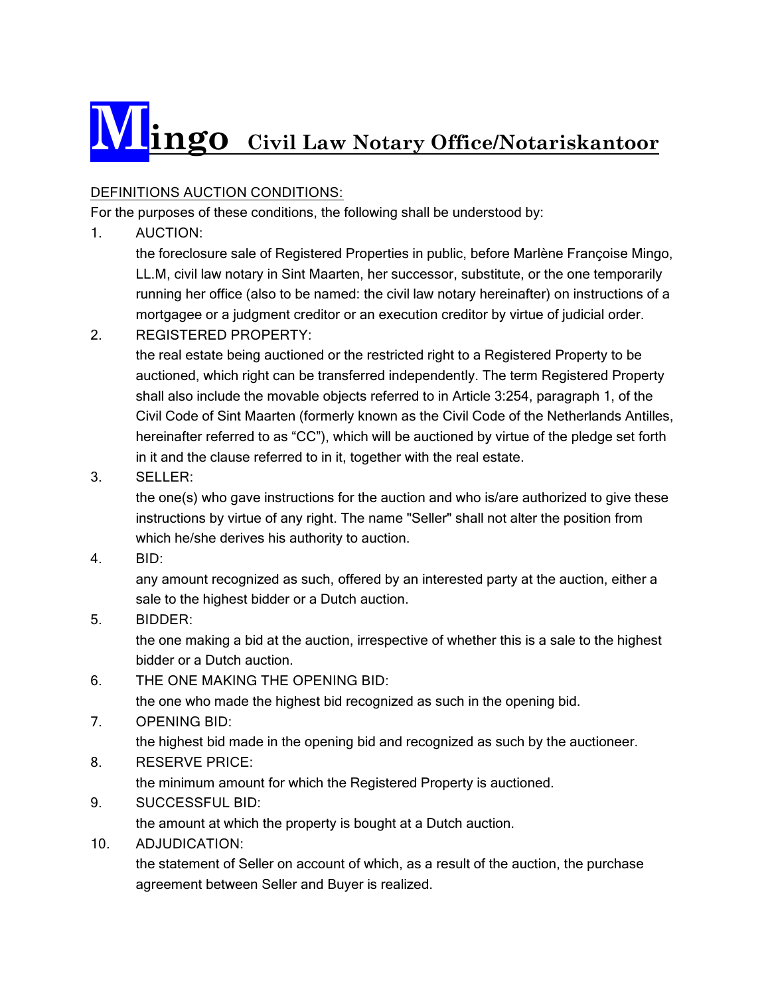# **Mingo Civil Law Notary Office/Notariskantoor**

# DEFINITIONS AUCTION CONDITIONS:

For the purposes of these conditions, the following shall be understood by:

1. AUCTION:

the foreclosure sale of Registered Properties in public, before Marlène Françoise Mingo, LL.M, civil law notary in Sint Maarten, her successor, substitute, or the one temporarily running her office (also to be named: the civil law notary hereinafter) on instructions of a mortgagee or a judgment creditor or an execution creditor by virtue of judicial order.

2. REGISTERED PROPERTY:

the real estate being auctioned or the restricted right to a Registered Property to be auctioned, which right can be transferred independently. The term Registered Property shall also include the movable objects referred to in Article 3:254, paragraph 1, of the Civil Code of Sint Maarten (formerly known as the Civil Code of the Netherlands Antilles, hereinafter referred to as "CC"), which will be auctioned by virtue of the pledge set forth in it and the clause referred to in it, together with the real estate.

3. SELLER:

the one(s) who gave instructions for the auction and who is/are authorized to give these instructions by virtue of any right. The name "Seller" shall not alter the position from which he/she derives his authority to auction.

4. BID:

any amount recognized as such, offered by an interested party at the auction, either a sale to the highest bidder or a Dutch auction.

5. BIDDER:

the one making a bid at the auction, irrespective of whether this is a sale to the highest bidder or a Dutch auction.

- 6. THE ONE MAKING THE OPENING BID: the one who made the highest bid recognized as such in the opening bid.
- 7. OPENING BID:

the highest bid made in the opening bid and recognized as such by the auctioneer.

8. RESERVE PRICE:

the minimum amount for which the Registered Property is auctioned.

- 9. SUCCESSFUL BID: the amount at which the property is bought at a Dutch auction.
- 10. ADJUDICATION:

the statement of Seller on account of which, as a result of the auction, the purchase agreement between Seller and Buyer is realized.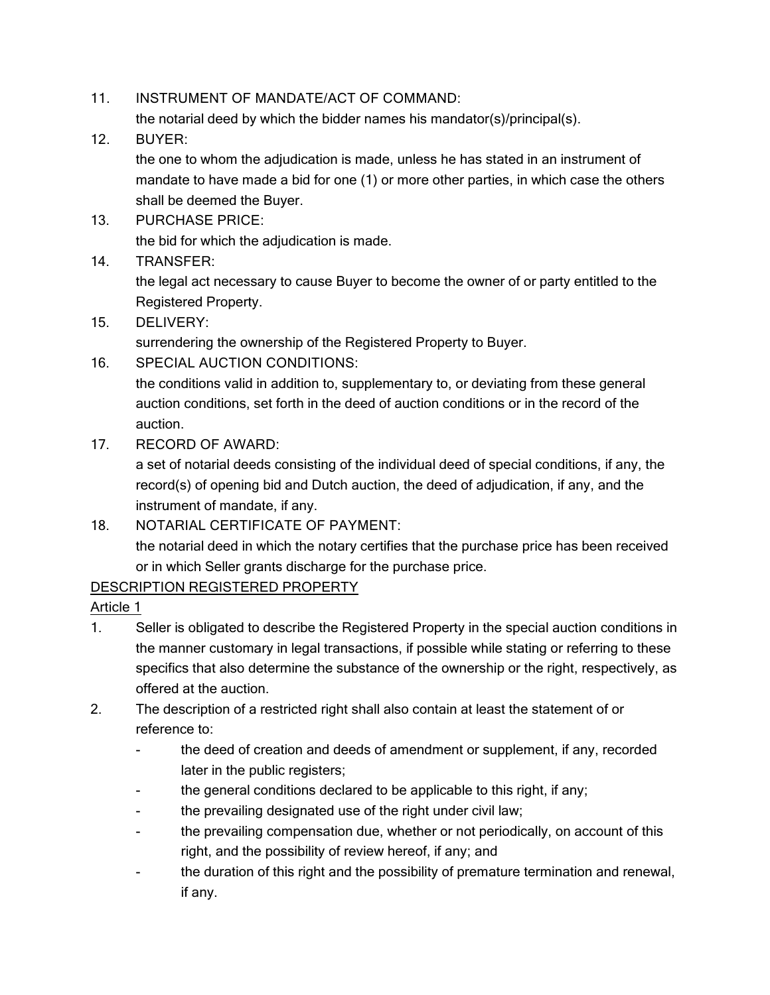11. INSTRUMENT OF MANDATE/ACT OF COMMAND:

the notarial deed by which the bidder names his mandator(s)/principal(s).

12. BUYER:

the one to whom the adjudication is made, unless he has stated in an instrument of mandate to have made a bid for one (1) or more other parties, in which case the others shall be deemed the Buyer.

- 13. PURCHASE PRICE: the bid for which the adjudication is made.
- 14. TRANSFER:

the legal act necessary to cause Buyer to become the owner of or party entitled to the Registered Property.

15. DELIVERY:

surrendering the ownership of the Registered Property to Buyer.

16. SPECIAL AUCTION CONDITIONS: the conditions valid in addition to, supplementary to, or deviating from these general auction conditions, set forth in the deed of auction conditions or in the record of the

auction.

17. RECORD OF AWARD:

a set of notarial deeds consisting of the individual deed of special conditions, if any, the record(s) of opening bid and Dutch auction, the deed of adjudication, if any, and the instrument of mandate, if any.

18. NOTARIAL CERTIFICATE OF PAYMENT:

the notarial deed in which the notary certifies that the purchase price has been received or in which Seller grants discharge for the purchase price.

## DESCRIPTION REGISTERED PROPERTY

- 1. Seller is obligated to describe the Registered Property in the special auction conditions in the manner customary in legal transactions, if possible while stating or referring to these specifics that also determine the substance of the ownership or the right, respectively, as offered at the auction.
- 2. The description of a restricted right shall also contain at least the statement of or reference to:
	- the deed of creation and deeds of amendment or supplement, if any, recorded later in the public registers;
	- the general conditions declared to be applicable to this right, if any;
	- the prevailing designated use of the right under civil law;
	- the prevailing compensation due, whether or not periodically, on account of this right, and the possibility of review hereof, if any; and
	- the duration of this right and the possibility of premature termination and renewal, if any.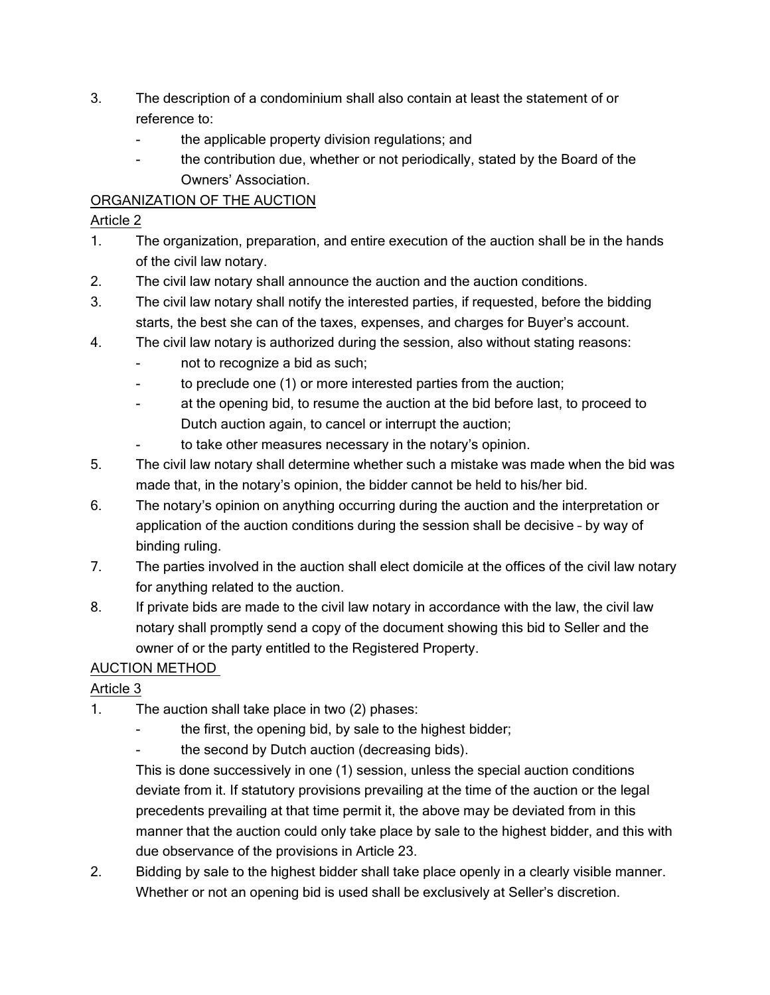- 3. The description of a condominium shall also contain at least the statement of or reference to:
	- the applicable property division regulations; and
	- the contribution due, whether or not periodically, stated by the Board of the Owners' Association.

# ORGANIZATION OF THE AUCTION

## Article 2

- 1. The organization, preparation, and entire execution of the auction shall be in the hands of the civil law notary.
- 2. The civil law notary shall announce the auction and the auction conditions.
- 3. The civil law notary shall notify the interested parties, if requested, before the bidding starts, the best she can of the taxes, expenses, and charges for Buyer's account.
- 4. The civil law notary is authorized during the session, also without stating reasons:
	- not to recognize a bid as such;
	- to preclude one (1) or more interested parties from the auction;
	- at the opening bid, to resume the auction at the bid before last, to proceed to Dutch auction again, to cancel or interrupt the auction;
	- to take other measures necessary in the notary's opinion.
- 5. The civil law notary shall determine whether such a mistake was made when the bid was made that, in the notary's opinion, the bidder cannot be held to his/her bid.
- 6. The notary's opinion on anything occurring during the auction and the interpretation or application of the auction conditions during the session shall be decisive – by way of binding ruling.
- 7. The parties involved in the auction shall elect domicile at the offices of the civil law notary for anything related to the auction.
- 8. If private bids are made to the civil law notary in accordance with the law, the civil law notary shall promptly send a copy of the document showing this bid to Seller and the owner of or the party entitled to the Registered Property.

# AUCTION METHOD

# Article 3

- 1. The auction shall take place in two (2) phases:
	- the first, the opening bid, by sale to the highest bidder;
	- the second by Dutch auction (decreasing bids).

This is done successively in one (1) session, unless the special auction conditions deviate from it. If statutory provisions prevailing at the time of the auction or the legal precedents prevailing at that time permit it, the above may be deviated from in this manner that the auction could only take place by sale to the highest bidder, and this with due observance of the provisions in Article 23.

2. Bidding by sale to the highest bidder shall take place openly in a clearly visible manner. Whether or not an opening bid is used shall be exclusively at Seller's discretion.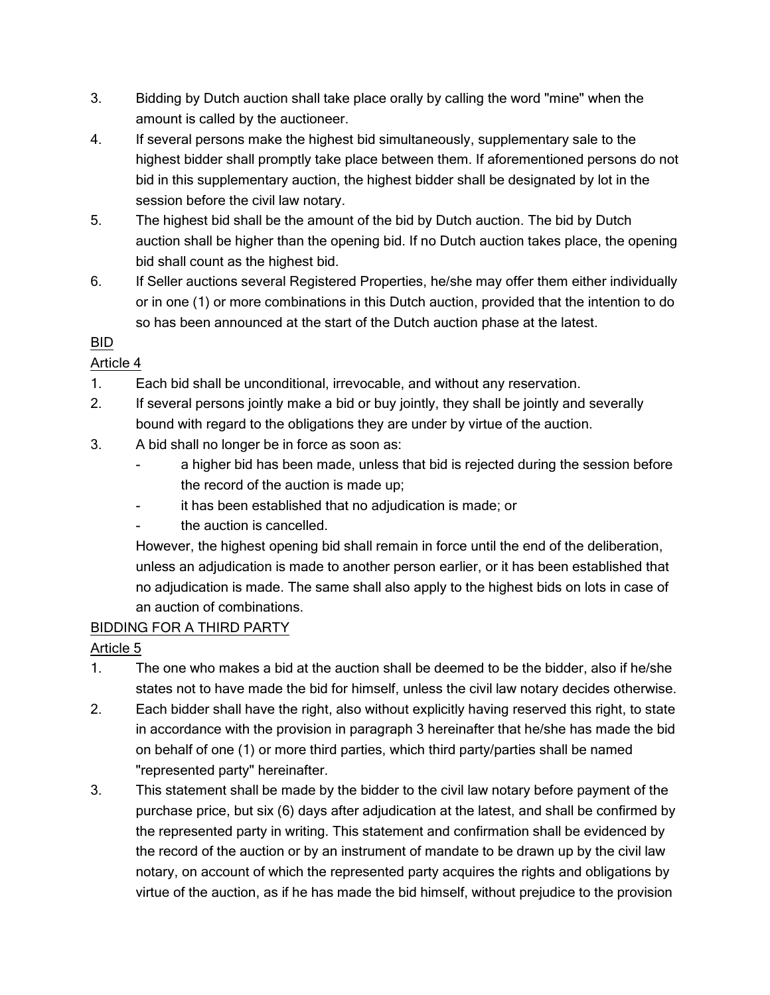- 3. Bidding by Dutch auction shall take place orally by calling the word "mine" when the amount is called by the auctioneer.
- 4. If several persons make the highest bid simultaneously, supplementary sale to the highest bidder shall promptly take place between them. If aforementioned persons do not bid in this supplementary auction, the highest bidder shall be designated by lot in the session before the civil law notary.
- 5. The highest bid shall be the amount of the bid by Dutch auction. The bid by Dutch auction shall be higher than the opening bid. If no Dutch auction takes place, the opening bid shall count as the highest bid.
- 6. If Seller auctions several Registered Properties, he/she may offer them either individually or in one (1) or more combinations in this Dutch auction, provided that the intention to do so has been announced at the start of the Dutch auction phase at the latest.

# BID

# Article 4

- 1. Each bid shall be unconditional, irrevocable, and without any reservation.
- 2. If several persons jointly make a bid or buy jointly, they shall be jointly and severally bound with regard to the obligations they are under by virtue of the auction.
- 3. A bid shall no longer be in force as soon as:
	- a higher bid has been made, unless that bid is rejected during the session before the record of the auction is made up;
	- it has been established that no adjudication is made; or
	- the auction is cancelled.

However, the highest opening bid shall remain in force until the end of the deliberation, unless an adjudication is made to another person earlier, or it has been established that no adjudication is made. The same shall also apply to the highest bids on lots in case of an auction of combinations.

# BIDDING FOR A THIRD PARTY

- 1. The one who makes a bid at the auction shall be deemed to be the bidder, also if he/she states not to have made the bid for himself, unless the civil law notary decides otherwise.
- 2. Each bidder shall have the right, also without explicitly having reserved this right, to state in accordance with the provision in paragraph 3 hereinafter that he/she has made the bid on behalf of one (1) or more third parties, which third party/parties shall be named "represented party" hereinafter.
- 3. This statement shall be made by the bidder to the civil law notary before payment of the purchase price, but six (6) days after adjudication at the latest, and shall be confirmed by the represented party in writing. This statement and confirmation shall be evidenced by the record of the auction or by an instrument of mandate to be drawn up by the civil law notary, on account of which the represented party acquires the rights and obligations by virtue of the auction, as if he has made the bid himself, without prejudice to the provision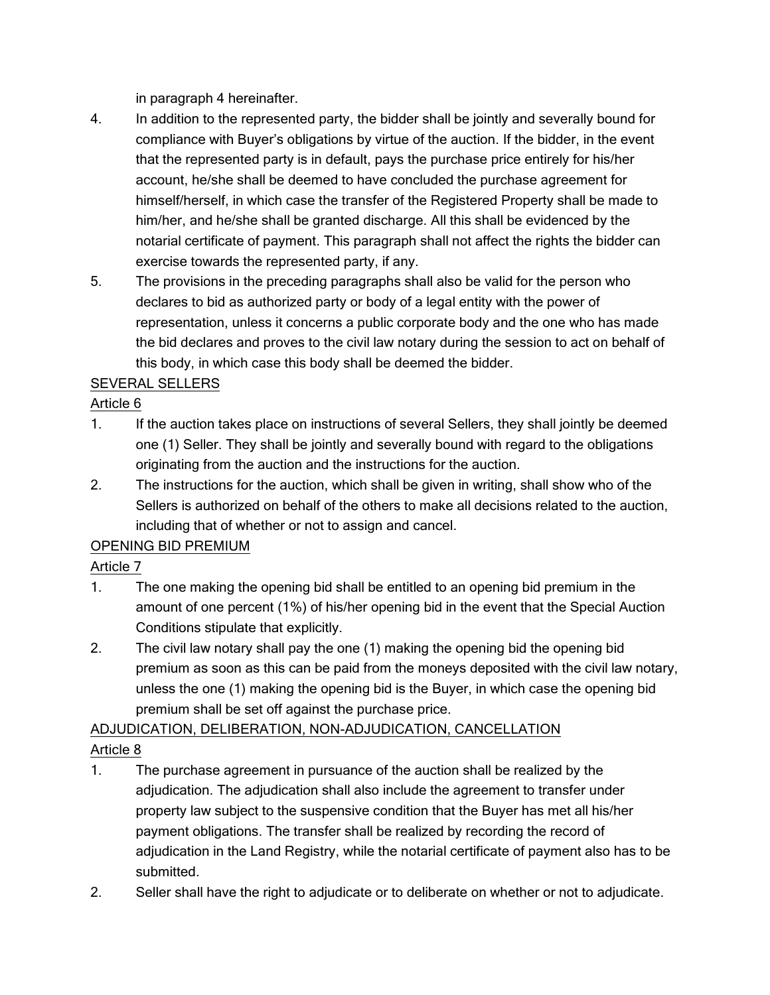in paragraph 4 hereinafter.

- 4. In addition to the represented party, the bidder shall be jointly and severally bound for compliance with Buyer's obligations by virtue of the auction. If the bidder, in the event that the represented party is in default, pays the purchase price entirely for his/her account, he/she shall be deemed to have concluded the purchase agreement for himself/herself, in which case the transfer of the Registered Property shall be made to him/her, and he/she shall be granted discharge. All this shall be evidenced by the notarial certificate of payment. This paragraph shall not affect the rights the bidder can exercise towards the represented party, if any.
- 5. The provisions in the preceding paragraphs shall also be valid for the person who declares to bid as authorized party or body of a legal entity with the power of representation, unless it concerns a public corporate body and the one who has made the bid declares and proves to the civil law notary during the session to act on behalf of this body, in which case this body shall be deemed the bidder.

# SEVERAL SELLERS

## Article 6

- 1. If the auction takes place on instructions of several Sellers, they shall jointly be deemed one (1) Seller. They shall be jointly and severally bound with regard to the obligations originating from the auction and the instructions for the auction.
- 2. The instructions for the auction, which shall be given in writing, shall show who of the Sellers is authorized on behalf of the others to make all decisions related to the auction, including that of whether or not to assign and cancel.

# OPENING BID PREMIUM

# Article 7

- 1. The one making the opening bid shall be entitled to an opening bid premium in the amount of one percent (1%) of his/her opening bid in the event that the Special Auction Conditions stipulate that explicitly.
- 2. The civil law notary shall pay the one (1) making the opening bid the opening bid premium as soon as this can be paid from the moneys deposited with the civil law notary, unless the one (1) making the opening bid is the Buyer, in which case the opening bid premium shall be set off against the purchase price.

# ADJUDICATION, DELIBERATION, NON-ADJUDICATION, CANCELLATION

- 1. The purchase agreement in pursuance of the auction shall be realized by the adjudication. The adjudication shall also include the agreement to transfer under property law subject to the suspensive condition that the Buyer has met all his/her payment obligations. The transfer shall be realized by recording the record of adjudication in the Land Registry, while the notarial certificate of payment also has to be submitted.
- 2. Seller shall have the right to adjudicate or to deliberate on whether or not to adjudicate.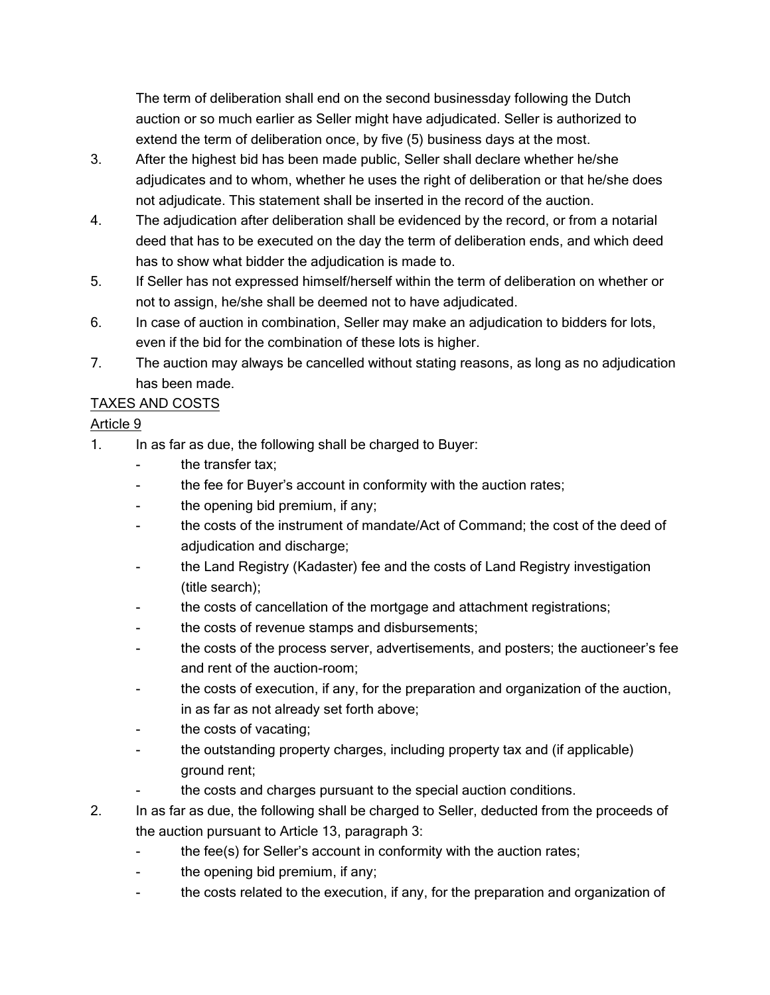The term of deliberation shall end on the second businessday following the Dutch auction or so much earlier as Seller might have adjudicated. Seller is authorized to extend the term of deliberation once, by five (5) business days at the most.

- 3. After the highest bid has been made public, Seller shall declare whether he/she adjudicates and to whom, whether he uses the right of deliberation or that he/she does not adjudicate. This statement shall be inserted in the record of the auction.
- 4. The adjudication after deliberation shall be evidenced by the record, or from a notarial deed that has to be executed on the day the term of deliberation ends, and which deed has to show what bidder the adjudication is made to.
- 5. If Seller has not expressed himself/herself within the term of deliberation on whether or not to assign, he/she shall be deemed not to have adjudicated.
- 6. In case of auction in combination, Seller may make an adjudication to bidders for lots, even if the bid for the combination of these lots is higher.
- 7. The auction may always be cancelled without stating reasons, as long as no adjudication has been made.

# TAXES AND COSTS

- 1. In as far as due, the following shall be charged to Buyer:
	- the transfer tax;
	- the fee for Buyer's account in conformity with the auction rates;
	- the opening bid premium, if any;
	- the costs of the instrument of mandate/Act of Command; the cost of the deed of adjudication and discharge;
	- the Land Registry (Kadaster) fee and the costs of Land Registry investigation (title search);
	- the costs of cancellation of the mortgage and attachment registrations;
	- the costs of revenue stamps and disbursements;
	- the costs of the process server, advertisements, and posters; the auctioneer's fee and rent of the auction-room;
	- the costs of execution, if any, for the preparation and organization of the auction, in as far as not already set forth above;
	- the costs of vacating;
	- the outstanding property charges, including property tax and (if applicable) ground rent;
	- the costs and charges pursuant to the special auction conditions.
- 2. In as far as due, the following shall be charged to Seller, deducted from the proceeds of the auction pursuant to Article 13, paragraph 3:
	- the fee(s) for Seller's account in conformity with the auction rates;
	- the opening bid premium, if any;
	- the costs related to the execution, if any, for the preparation and organization of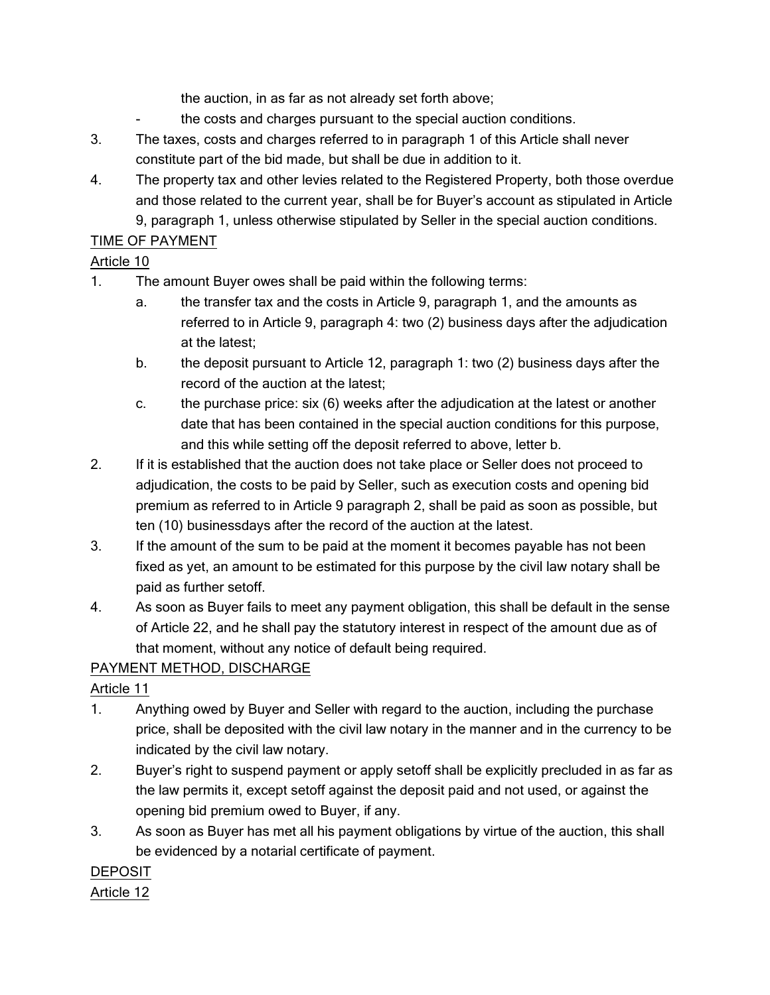the auction, in as far as not already set forth above;

- the costs and charges pursuant to the special auction conditions.
- 3. The taxes, costs and charges referred to in paragraph 1 of this Article shall never constitute part of the bid made, but shall be due in addition to it.
- 4. The property tax and other levies related to the Registered Property, both those overdue and those related to the current year, shall be for Buyer's account as stipulated in Article 9, paragraph 1, unless otherwise stipulated by Seller in the special auction conditions.

## TIME OF PAYMENT

#### Article 10

- 1. The amount Buyer owes shall be paid within the following terms:
	- a. the transfer tax and the costs in Article 9, paragraph 1, and the amounts as referred to in Article 9, paragraph 4: two (2) business days after the adjudication at the latest;
	- b. the deposit pursuant to Article 12, paragraph 1: two (2) business days after the record of the auction at the latest;
	- c. the purchase price: six (6) weeks after the adjudication at the latest or another date that has been contained in the special auction conditions for this purpose, and this while setting off the deposit referred to above, letter b.
- 2. If it is established that the auction does not take place or Seller does not proceed to adjudication, the costs to be paid by Seller, such as execution costs and opening bid premium as referred to in Article 9 paragraph 2, shall be paid as soon as possible, but ten (10) businessdays after the record of the auction at the latest.
- 3. If the amount of the sum to be paid at the moment it becomes payable has not been fixed as yet, an amount to be estimated for this purpose by the civil law notary shall be paid as further setoff.
- 4. As soon as Buyer fails to meet any payment obligation, this shall be default in the sense of Article 22, and he shall pay the statutory interest in respect of the amount due as of that moment, without any notice of default being required.

## PAYMENT METHOD, DISCHARGE

## Article 11

- 1. Anything owed by Buyer and Seller with regard to the auction, including the purchase price, shall be deposited with the civil law notary in the manner and in the currency to be indicated by the civil law notary.
- 2. Buyer's right to suspend payment or apply setoff shall be explicitly precluded in as far as the law permits it, except setoff against the deposit paid and not used, or against the opening bid premium owed to Buyer, if any.
- 3. As soon as Buyer has met all his payment obligations by virtue of the auction, this shall be evidenced by a notarial certificate of payment.

## DEPOSIT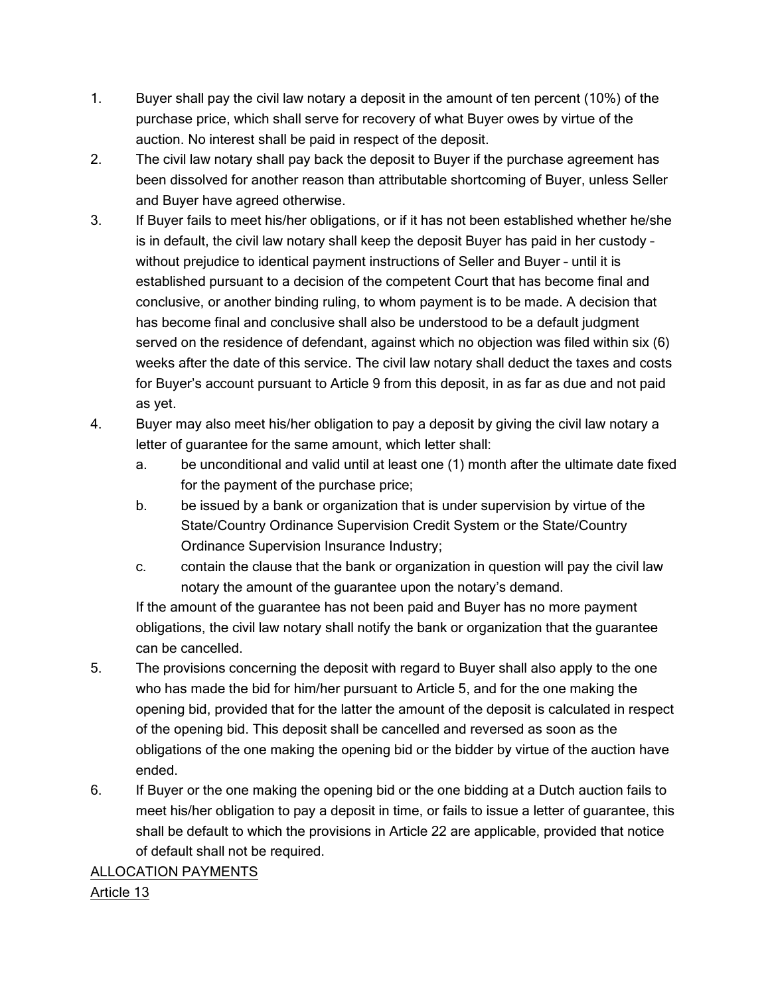- 1. Buyer shall pay the civil law notary a deposit in the amount of ten percent (10%) of the purchase price, which shall serve for recovery of what Buyer owes by virtue of the auction. No interest shall be paid in respect of the deposit.
- 2. The civil law notary shall pay back the deposit to Buyer if the purchase agreement has been dissolved for another reason than attributable shortcoming of Buyer, unless Seller and Buyer have agreed otherwise.
- 3. If Buyer fails to meet his/her obligations, or if it has not been established whether he/she is in default, the civil law notary shall keep the deposit Buyer has paid in her custody – without prejudice to identical payment instructions of Seller and Buyer – until it is established pursuant to a decision of the competent Court that has become final and conclusive, or another binding ruling, to whom payment is to be made. A decision that has become final and conclusive shall also be understood to be a default judgment served on the residence of defendant, against which no objection was filed within six (6) weeks after the date of this service. The civil law notary shall deduct the taxes and costs for Buyer's account pursuant to Article 9 from this deposit, in as far as due and not paid as yet.
- 4. Buyer may also meet his/her obligation to pay a deposit by giving the civil law notary a letter of guarantee for the same amount, which letter shall:
	- a. be unconditional and valid until at least one (1) month after the ultimate date fixed for the payment of the purchase price;
	- b. be issued by a bank or organization that is under supervision by virtue of the State/Country Ordinance Supervision Credit System or the State/Country Ordinance Supervision Insurance Industry;
	- c. contain the clause that the bank or organization in question will pay the civil law notary the amount of the guarantee upon the notary's demand.

If the amount of the guarantee has not been paid and Buyer has no more payment obligations, the civil law notary shall notify the bank or organization that the guarantee can be cancelled.

- 5. The provisions concerning the deposit with regard to Buyer shall also apply to the one who has made the bid for him/her pursuant to Article 5, and for the one making the opening bid, provided that for the latter the amount of the deposit is calculated in respect of the opening bid. This deposit shall be cancelled and reversed as soon as the obligations of the one making the opening bid or the bidder by virtue of the auction have ended.
- 6. If Buyer or the one making the opening bid or the one bidding at a Dutch auction fails to meet his/her obligation to pay a deposit in time, or fails to issue a letter of guarantee, this shall be default to which the provisions in Article 22 are applicable, provided that notice of default shall not be required.

#### ALLOCATION PAYMENTS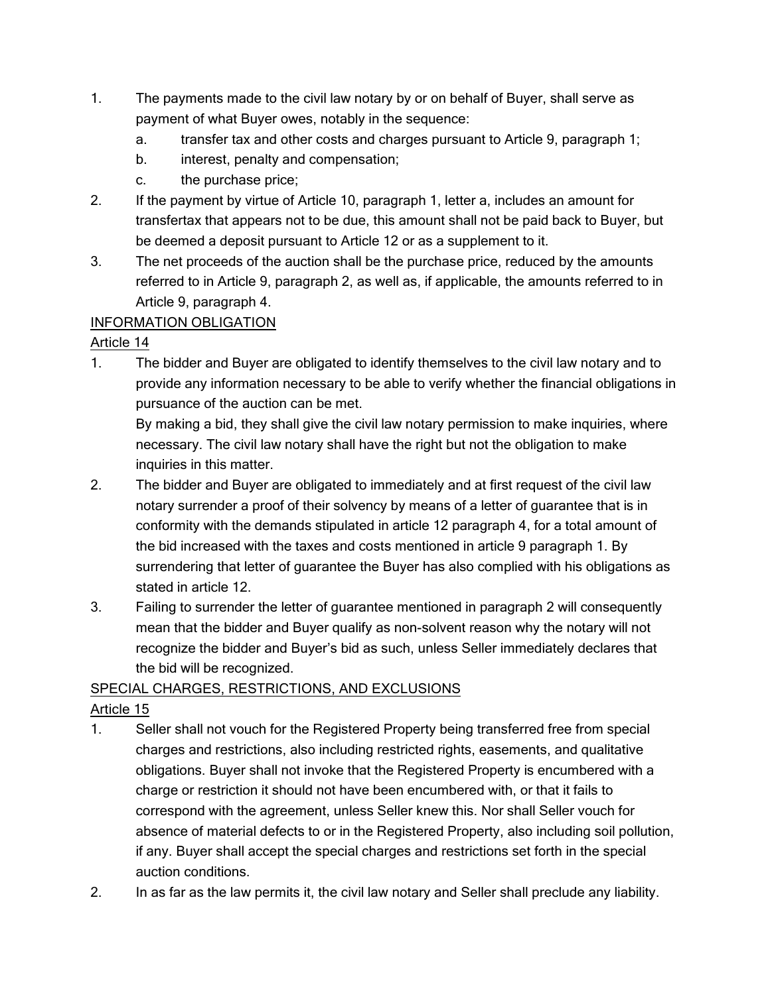- 1. The payments made to the civil law notary by or on behalf of Buyer, shall serve as payment of what Buyer owes, notably in the sequence:
	- a. transfer tax and other costs and charges pursuant to Article 9, paragraph 1;
	- b. interest, penalty and compensation;
	- c. the purchase price;
- 2. If the payment by virtue of Article 10, paragraph 1, letter a, includes an amount for transfertax that appears not to be due, this amount shall not be paid back to Buyer, but be deemed a deposit pursuant to Article 12 or as a supplement to it.
- 3. The net proceeds of the auction shall be the purchase price, reduced by the amounts referred to in Article 9, paragraph 2, as well as, if applicable, the amounts referred to in Article 9, paragraph 4.

# INFORMATION OBLIGATION

## Article 14

1. The bidder and Buyer are obligated to identify themselves to the civil law notary and to provide any information necessary to be able to verify whether the financial obligations in pursuance of the auction can be met.

By making a bid, they shall give the civil law notary permission to make inquiries, where necessary. The civil law notary shall have the right but not the obligation to make inquiries in this matter.

- 2. The bidder and Buyer are obligated to immediately and at first request of the civil law notary surrender a proof of their solvency by means of a letter of guarantee that is in conformity with the demands stipulated in article 12 paragraph 4, for a total amount of the bid increased with the taxes and costs mentioned in article 9 paragraph 1. By surrendering that letter of guarantee the Buyer has also complied with his obligations as stated in article 12.
- 3. Failing to surrender the letter of guarantee mentioned in paragraph 2 will consequently mean that the bidder and Buyer qualify as non-solvent reason why the notary will not recognize the bidder and Buyer's bid as such, unless Seller immediately declares that the bid will be recognized.

## SPECIAL CHARGES, RESTRICTIONS, AND EXCLUSIONS

- 1. Seller shall not vouch for the Registered Property being transferred free from special charges and restrictions, also including restricted rights, easements, and qualitative obligations. Buyer shall not invoke that the Registered Property is encumbered with a charge or restriction it should not have been encumbered with, or that it fails to correspond with the agreement, unless Seller knew this. Nor shall Seller vouch for absence of material defects to or in the Registered Property, also including soil pollution, if any. Buyer shall accept the special charges and restrictions set forth in the special auction conditions.
- 2. In as far as the law permits it, the civil law notary and Seller shall preclude any liability.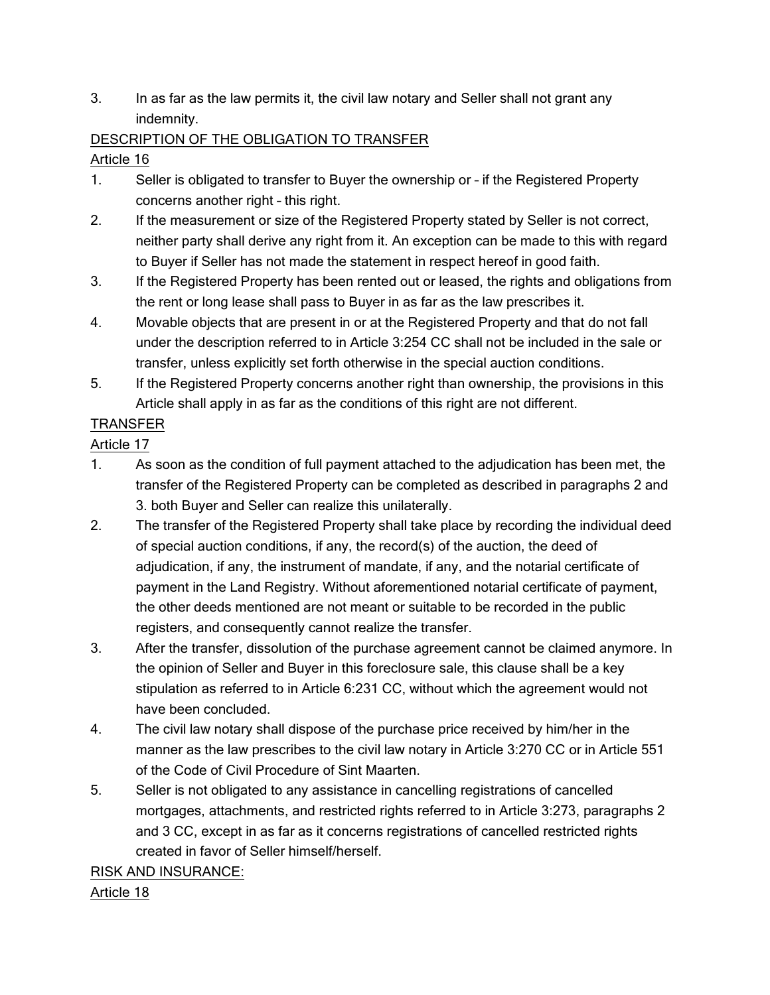3. In as far as the law permits it, the civil law notary and Seller shall not grant any indemnity.

## DESCRIPTION OF THE OBLIGATION TO TRANSFER

## Article 16

- 1. Seller is obligated to transfer to Buyer the ownership or if the Registered Property concerns another right – this right.
- 2. If the measurement or size of the Registered Property stated by Seller is not correct, neither party shall derive any right from it. An exception can be made to this with regard to Buyer if Seller has not made the statement in respect hereof in good faith.
- 3. If the Registered Property has been rented out or leased, the rights and obligations from the rent or long lease shall pass to Buyer in as far as the law prescribes it.
- 4. Movable objects that are present in or at the Registered Property and that do not fall under the description referred to in Article 3:254 CC shall not be included in the sale or transfer, unless explicitly set forth otherwise in the special auction conditions.
- 5. If the Registered Property concerns another right than ownership, the provisions in this Article shall apply in as far as the conditions of this right are not different.

# TRANSFER

Article 17

- 1. As soon as the condition of full payment attached to the adjudication has been met, the transfer of the Registered Property can be completed as described in paragraphs 2 and 3. both Buyer and Seller can realize this unilaterally.
- 2. The transfer of the Registered Property shall take place by recording the individual deed of special auction conditions, if any, the record(s) of the auction, the deed of adjudication, if any, the instrument of mandate, if any, and the notarial certificate of payment in the Land Registry. Without aforementioned notarial certificate of payment, the other deeds mentioned are not meant or suitable to be recorded in the public registers, and consequently cannot realize the transfer.
- 3. After the transfer, dissolution of the purchase agreement cannot be claimed anymore. In the opinion of Seller and Buyer in this foreclosure sale, this clause shall be a key stipulation as referred to in Article 6:231 CC, without which the agreement would not have been concluded.
- 4. The civil law notary shall dispose of the purchase price received by him/her in the manner as the law prescribes to the civil law notary in Article 3:270 CC or in Article 551 of the Code of Civil Procedure of Sint Maarten.
- 5. Seller is not obligated to any assistance in cancelling registrations of cancelled mortgages, attachments, and restricted rights referred to in Article 3:273, paragraphs 2 and 3 CC, except in as far as it concerns registrations of cancelled restricted rights created in favor of Seller himself/herself.

# RISK AND INSURANCE: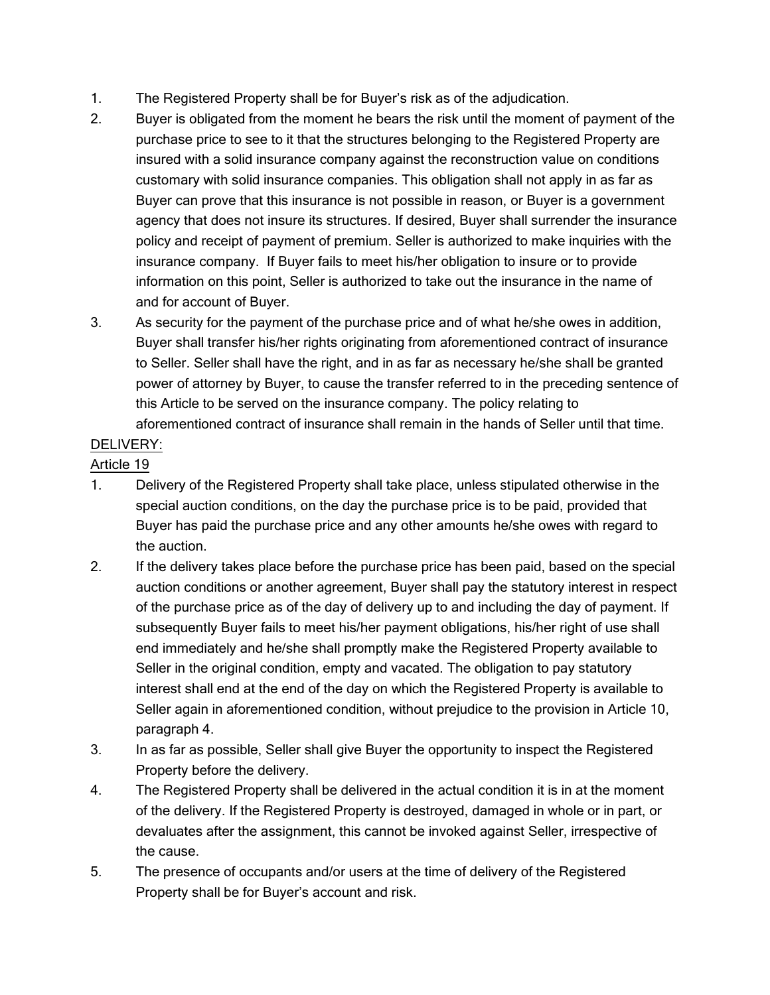- 1. The Registered Property shall be for Buyer's risk as of the adjudication.
- 2. Buyer is obligated from the moment he bears the risk until the moment of payment of the purchase price to see to it that the structures belonging to the Registered Property are insured with a solid insurance company against the reconstruction value on conditions customary with solid insurance companies. This obligation shall not apply in as far as Buyer can prove that this insurance is not possible in reason, or Buyer is a government agency that does not insure its structures. If desired, Buyer shall surrender the insurance policy and receipt of payment of premium. Seller is authorized to make inquiries with the insurance company. If Buyer fails to meet his/her obligation to insure or to provide information on this point, Seller is authorized to take out the insurance in the name of and for account of Buyer.
- 3. As security for the payment of the purchase price and of what he/she owes in addition, Buyer shall transfer his/her rights originating from aforementioned contract of insurance to Seller. Seller shall have the right, and in as far as necessary he/she shall be granted power of attorney by Buyer, to cause the transfer referred to in the preceding sentence of this Article to be served on the insurance company. The policy relating to aforementioned contract of insurance shall remain in the hands of Seller until that time.

## DELIVERY:

- 1. Delivery of the Registered Property shall take place, unless stipulated otherwise in the special auction conditions, on the day the purchase price is to be paid, provided that Buyer has paid the purchase price and any other amounts he/she owes with regard to the auction.
- 2. If the delivery takes place before the purchase price has been paid, based on the special auction conditions or another agreement, Buyer shall pay the statutory interest in respect of the purchase price as of the day of delivery up to and including the day of payment. If subsequently Buyer fails to meet his/her payment obligations, his/her right of use shall end immediately and he/she shall promptly make the Registered Property available to Seller in the original condition, empty and vacated. The obligation to pay statutory interest shall end at the end of the day on which the Registered Property is available to Seller again in aforementioned condition, without prejudice to the provision in Article 10, paragraph 4.
- 3. In as far as possible, Seller shall give Buyer the opportunity to inspect the Registered Property before the delivery.
- 4. The Registered Property shall be delivered in the actual condition it is in at the moment of the delivery. If the Registered Property is destroyed, damaged in whole or in part, or devaluates after the assignment, this cannot be invoked against Seller, irrespective of the cause.
- 5. The presence of occupants and/or users at the time of delivery of the Registered Property shall be for Buyer's account and risk.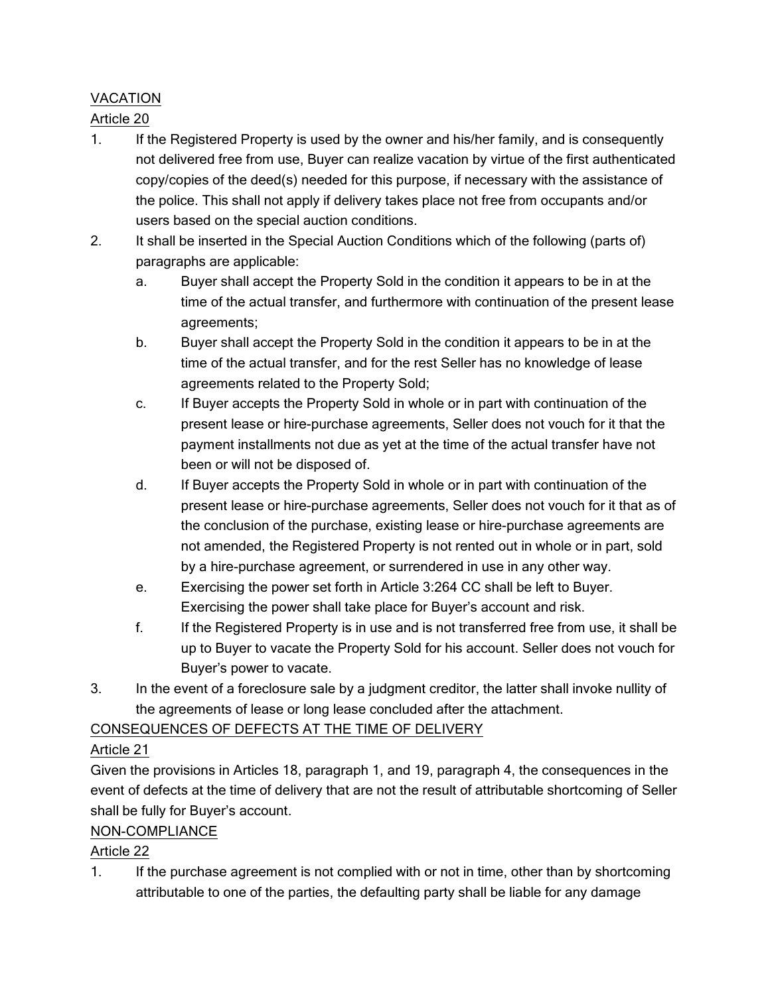# VACATION

## Article 20

- 1. If the Registered Property is used by the owner and his/her family, and is consequently not delivered free from use, Buyer can realize vacation by virtue of the first authenticated copy/copies of the deed(s) needed for this purpose, if necessary with the assistance of the police. This shall not apply if delivery takes place not free from occupants and/or users based on the special auction conditions.
- 2. It shall be inserted in the Special Auction Conditions which of the following (parts of) paragraphs are applicable:
	- a. Buyer shall accept the Property Sold in the condition it appears to be in at the time of the actual transfer, and furthermore with continuation of the present lease agreements;
	- b. Buyer shall accept the Property Sold in the condition it appears to be in at the time of the actual transfer, and for the rest Seller has no knowledge of lease agreements related to the Property Sold;
	- c. If Buyer accepts the Property Sold in whole or in part with continuation of the present lease or hire-purchase agreements, Seller does not vouch for it that the payment installments not due as yet at the time of the actual transfer have not been or will not be disposed of.
	- d. If Buyer accepts the Property Sold in whole or in part with continuation of the present lease or hire-purchase agreements, Seller does not vouch for it that as of the conclusion of the purchase, existing lease or hire-purchase agreements are not amended, the Registered Property is not rented out in whole or in part, sold by a hire-purchase agreement, or surrendered in use in any other way.
	- e. Exercising the power set forth in Article 3:264 CC shall be left to Buyer. Exercising the power shall take place for Buyer's account and risk.
	- f. If the Registered Property is in use and is not transferred free from use, it shall be up to Buyer to vacate the Property Sold for his account. Seller does not vouch for Buyer's power to vacate.
- 3. In the event of a foreclosure sale by a judgment creditor, the latter shall invoke nullity of the agreements of lease or long lease concluded after the attachment.

## CONSEQUENCES OF DEFECTS AT THE TIME OF DELIVERY

# Article 21

Given the provisions in Articles 18, paragraph 1, and 19, paragraph 4, the consequences in the event of defects at the time of delivery that are not the result of attributable shortcoming of Seller shall be fully for Buyer's account.

## NON-COMPLIANCE

# Article 22

1. If the purchase agreement is not complied with or not in time, other than by shortcoming attributable to one of the parties, the defaulting party shall be liable for any damage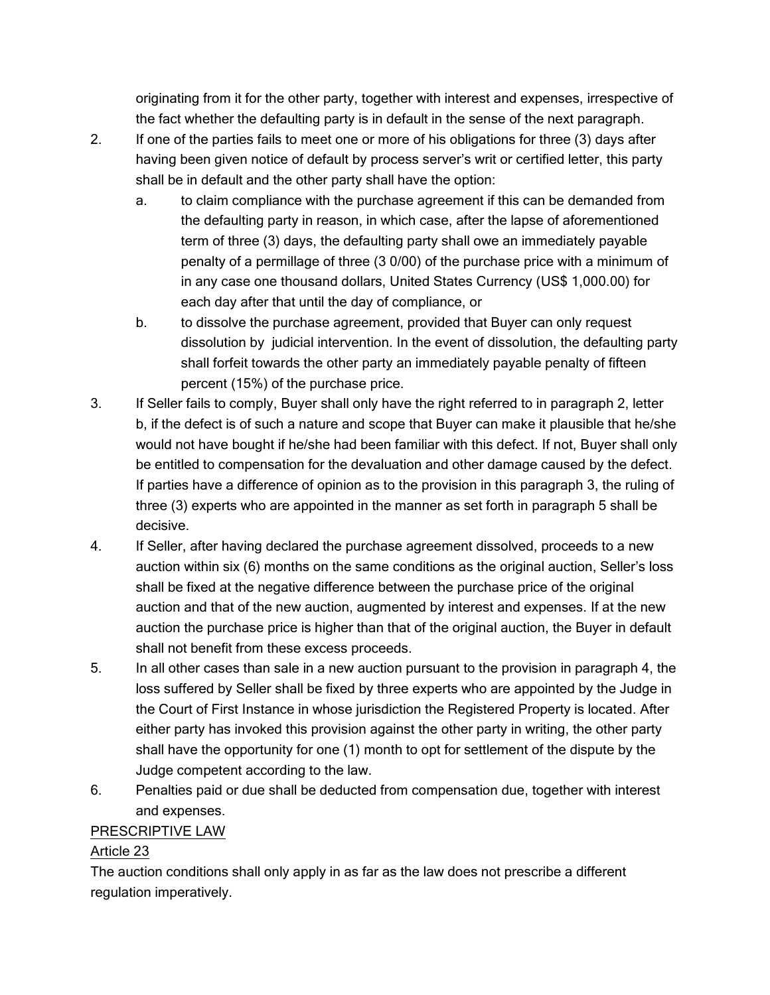originating from it for the other party, together with interest and expenses, irrespective of the fact whether the defaulting party is in default in the sense of the next paragraph.

- 2. If one of the parties fails to meet one or more of his obligations for three (3) days after having been given notice of default by process server's writ or certified letter, this party shall be in default and the other party shall have the option:
	- a. to claim compliance with the purchase agreement if this can be demanded from the defaulting party in reason, in which case, after the lapse of aforementioned term of three (3) days, the defaulting party shall owe an immediately payable penalty of a permillage of three (3 0/00) of the purchase price with a minimum of in any case one thousand dollars, United States Currency (US\$ 1,000.00) for each day after that until the day of compliance, or
	- b. to dissolve the purchase agreement, provided that Buyer can only request dissolution by judicial intervention. In the event of dissolution, the defaulting party shall forfeit towards the other party an immediately payable penalty of fifteen percent (15%) of the purchase price.
- 3. If Seller fails to comply, Buyer shall only have the right referred to in paragraph 2, letter b, if the defect is of such a nature and scope that Buyer can make it plausible that he/she would not have bought if he/she had been familiar with this defect. If not, Buyer shall only be entitled to compensation for the devaluation and other damage caused by the defect. If parties have a difference of opinion as to the provision in this paragraph 3, the ruling of three (3) experts who are appointed in the manner as set forth in paragraph 5 shall be decisive.
- 4. If Seller, after having declared the purchase agreement dissolved, proceeds to a new auction within six (6) months on the same conditions as the original auction, Seller's loss shall be fixed at the negative difference between the purchase price of the original auction and that of the new auction, augmented by interest and expenses. If at the new auction the purchase price is higher than that of the original auction, the Buyer in default shall not benefit from these excess proceeds.
- 5. In all other cases than sale in a new auction pursuant to the provision in paragraph 4, the loss suffered by Seller shall be fixed by three experts who are appointed by the Judge in the Court of First Instance in whose jurisdiction the Registered Property is located. After either party has invoked this provision against the other party in writing, the other party shall have the opportunity for one (1) month to opt for settlement of the dispute by the Judge competent according to the law.
- 6. Penalties paid or due shall be deducted from compensation due, together with interest and expenses.

#### PRESCRIPTIVE LAW

## Article 23

The auction conditions shall only apply in as far as the law does not prescribe a different regulation imperatively.